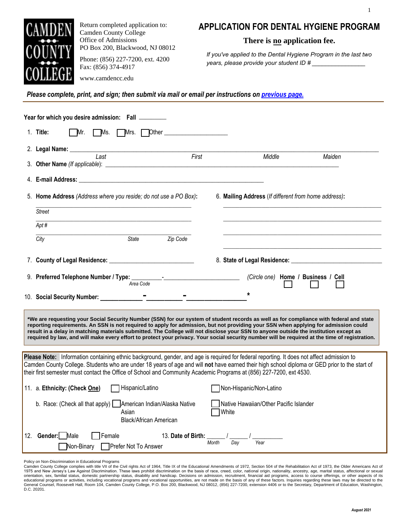

Return completed application to: Camden County College Office of Admissions PO Box 200, Blackwood, NJ 08012

Phone: (856) 227-7200, ext. 4200 Fax: (856) 374-4917

www.camdencc.edu

## **APPLICATION FOR DENTAL HYGIENE PROGRAM**

1

**There is no application fee.** 

*If you've applied to the Dental Hygiene Program in the last two years, please provide your student ID # \_\_\_\_\_\_\_\_\_\_\_\_\_\_\_\_*

*Please complete, print, and sign; then submit via mail or email per instructions on [previous page](https://www.camdencc.edu/admissions-financial-aid/how-to-apply/dental-hygiene-application/).*

|                                                                                                                                                                                                                                                                                                                                                                                                                                                                                                                                                                           | Year for which you desire admission: Fall                                                                                                                                                                                                                              |       |                                                      |        |  |  |  |
|---------------------------------------------------------------------------------------------------------------------------------------------------------------------------------------------------------------------------------------------------------------------------------------------------------------------------------------------------------------------------------------------------------------------------------------------------------------------------------------------------------------------------------------------------------------------------|------------------------------------------------------------------------------------------------------------------------------------------------------------------------------------------------------------------------------------------------------------------------|-------|------------------------------------------------------|--------|--|--|--|
|                                                                                                                                                                                                                                                                                                                                                                                                                                                                                                                                                                           | 1. Title:<br>Mr.<br>ヿMs.<br>Mrs.<br><b>Other Contract Contract Contract Contract Contract Contract Contract Contract Contract Contract Contract Contract Contract Contract Contract Contract Contract Contract Contract Contract Contract Contract Contract Contra</b> |       |                                                      |        |  |  |  |
|                                                                                                                                                                                                                                                                                                                                                                                                                                                                                                                                                                           | 2. Legal Name: _<br><u> 1989 - Jan James James Barbara, martxa amerikan personal (h. 1989).</u><br>First<br>$\overline{Last}$                                                                                                                                          |       | Middle                                               | Maiden |  |  |  |
|                                                                                                                                                                                                                                                                                                                                                                                                                                                                                                                                                                           |                                                                                                                                                                                                                                                                        |       |                                                      |        |  |  |  |
|                                                                                                                                                                                                                                                                                                                                                                                                                                                                                                                                                                           | 4. E-mail Address: the contract of the contract of the contract of the contract of the contract of the contract of the contract of the contract of the contract of the contract of the contract of the contract of the contrac                                         |       |                                                      |        |  |  |  |
|                                                                                                                                                                                                                                                                                                                                                                                                                                                                                                                                                                           | 5. Home Address (Address where you reside; do not use a PO Box):                                                                                                                                                                                                       |       | 6. Mailing Address (If different from home address): |        |  |  |  |
|                                                                                                                                                                                                                                                                                                                                                                                                                                                                                                                                                                           | Street                                                                                                                                                                                                                                                                 |       |                                                      |        |  |  |  |
|                                                                                                                                                                                                                                                                                                                                                                                                                                                                                                                                                                           | Apt#                                                                                                                                                                                                                                                                   |       |                                                      |        |  |  |  |
|                                                                                                                                                                                                                                                                                                                                                                                                                                                                                                                                                                           | Zip Code<br>City<br>State                                                                                                                                                                                                                                              |       |                                                      |        |  |  |  |
|                                                                                                                                                                                                                                                                                                                                                                                                                                                                                                                                                                           |                                                                                                                                                                                                                                                                        |       |                                                      |        |  |  |  |
|                                                                                                                                                                                                                                                                                                                                                                                                                                                                                                                                                                           | 9. Preferred Telephone Number / Type: Area Code Theorem Contains the Area Code                                                                                                                                                                                         |       | (Circle one) Home / Business / Cell                  |        |  |  |  |
|                                                                                                                                                                                                                                                                                                                                                                                                                                                                                                                                                                           | 10. Social Security Number:                                                                                                                                                                                                                                            |       |                                                      |        |  |  |  |
| *We are requesting your Social Security Number (SSN) for our system of student records as well as for compliance with federal and state<br>reporting requirements. An SSN is not required to apply for admission, but not providing your SSN when applying for admission could<br>result in a delay in matching materials submitted. The College will not disclose your SSN to anyone outside the institution except as<br>required by law, and will make every effort to protect your privacy. Your social security number will be required at the time of registration. |                                                                                                                                                                                                                                                                        |       |                                                      |        |  |  |  |
| Please Note: Information containing ethnic background, gender, and age is required for federal reporting. It does not affect admission to<br>Camden County College. Students who are under 18 years of age and will not have earned their high school diploma or GED prior to the start of<br>their first semester must contact the Office of School and Community Academic Programs at (856) 227-7200, ext 4530.                                                                                                                                                         |                                                                                                                                                                                                                                                                        |       |                                                      |        |  |  |  |
|                                                                                                                                                                                                                                                                                                                                                                                                                                                                                                                                                                           | 11. a. Ethnicity: (Check One)<br>Hispanic/Latino                                                                                                                                                                                                                       |       | Non-Hispanic/Non-Latino                              |        |  |  |  |
|                                                                                                                                                                                                                                                                                                                                                                                                                                                                                                                                                                           | b. Race: (Check all that apply) <b>American Indian/Alaska Native</b><br>Asian<br><b>Black/African American</b>                                                                                                                                                         |       | Native Hawaiian/Other Pacific Islander<br>White      |        |  |  |  |
|                                                                                                                                                                                                                                                                                                                                                                                                                                                                                                                                                                           | 12. Gender: Male<br>13. Date of Birth:<br>Female<br>Prefer Not To Answer<br>Non-Binary                                                                                                                                                                                 | Month | Year<br>Day                                          |        |  |  |  |

Policy on Non-Discrimination in Educational Programs

Camden County College complies with title VII of the Civil rights Act of 1964, Title IX of the Educational Amendments of 1972, Section 504 of the Rehabilitation Act of 1973, the Older Americans Act of<br>01975 and New Jersey' D.C. 20201.